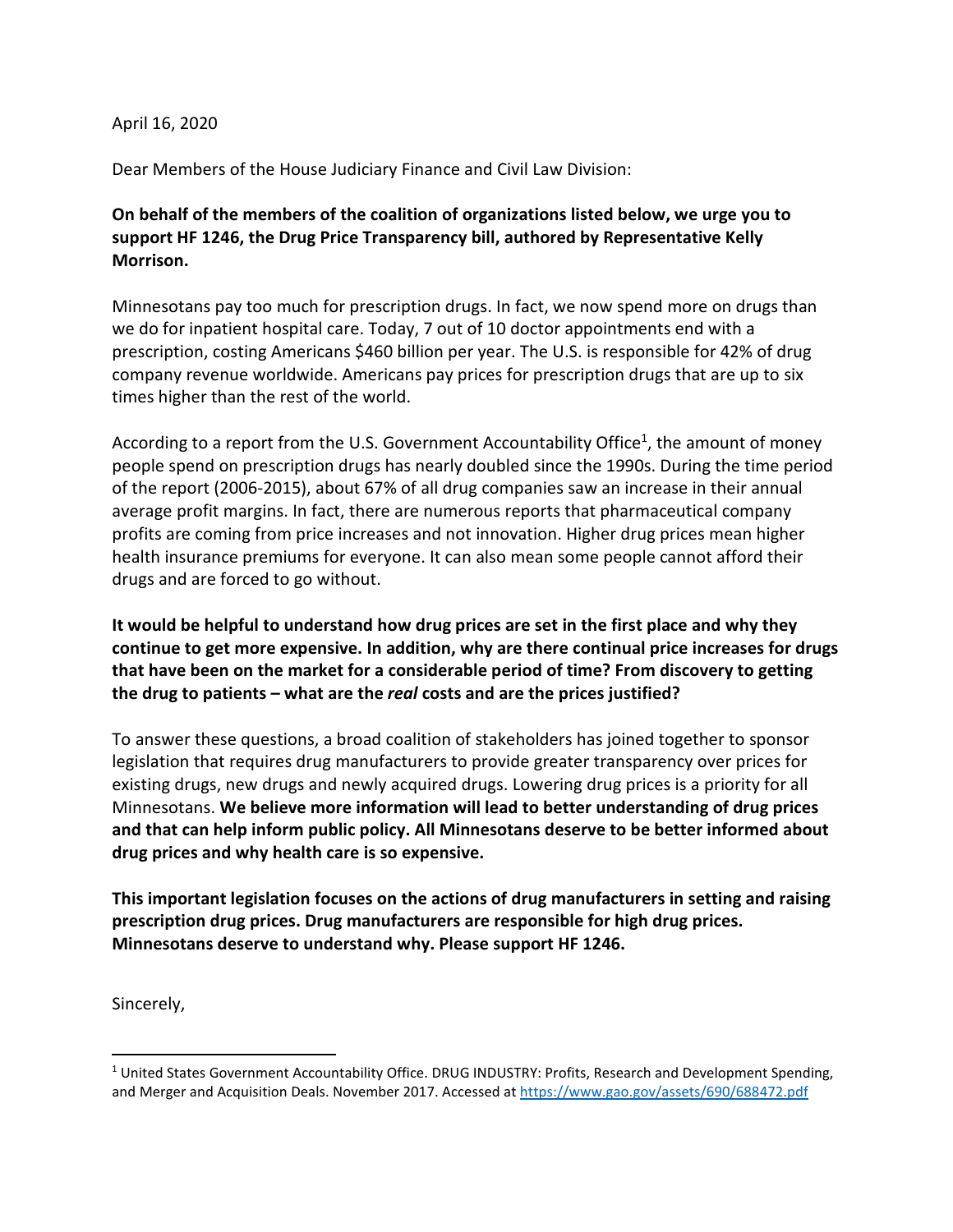## April 16, 2020

Dear Members of the House Judiciary Finance and Civil Law Division:

## On behalf of the members of the coalition of organizations listed below, we urge you to support HF 1246, the Drug Price Transparency bill, authored by Representative Kelly Morrison.

Minnesotans pay too much for prescription drugs. In fact, we now spend more on drugs than we do for inpatient hospital care. Today, 7 out of 10 doctor appointments end with a prescription, costing Americans \$460 billion per year. The U.S. is responsible for 42% of drug company revenue worldwide. Americans pay prices for prescription drugs that are up to six times higher than the rest of the world.

According to a report from the U.S. Government Accountability Office<sup>1</sup>, the amount of money people spend on prescription drugs has nearly doubled since the 1990s. During the time period of the report (2006-2015), about 67% of all drug companies saw an increase in their annual average profit margins. In fact, there are numerous reports that pharmaceutical company profits are coming from price increases and not innovation. Higher drug prices mean higher health insurance premiums for everyone. It can also mean some people cannot afford their drugs and are forced to go without.

## It would be helpful to understand how drug prices are set in the first place and why they continue to get more expensive. In addition, why are there continual price increases for drugs that have been on the market for a considerable period of time? From discovery to getting the drug to patients – what are the real costs and are the prices justified?

To answer these questions, a broad coalition of stakeholders has joined together to sponsor legislation that requires drug manufacturers to provide greater transparency over prices for existing drugs, new drugs and newly acquired drugs. Lowering drug prices is a priority for all Minnesotans. We believe more information will lead to better understanding of drug prices and that can help inform public policy. All Minnesotans deserve to be better informed about drug prices and why health care is so expensive.

This important legislation focuses on the actions of drug manufacturers in setting and raising prescription drug prices. Drug manufacturers are responsible for high drug prices. Minnesotans deserve to understand why. Please support HF 1246.

Sincerely,

<sup>&</sup>lt;sup>1</sup> United States Government Accountability Office. DRUG INDUSTRY: Profits, Research and Development Spending, and Merger and Acquisition Deals. November 2017. Accessed at https://www.gao.gov/assets/690/688472.pdf